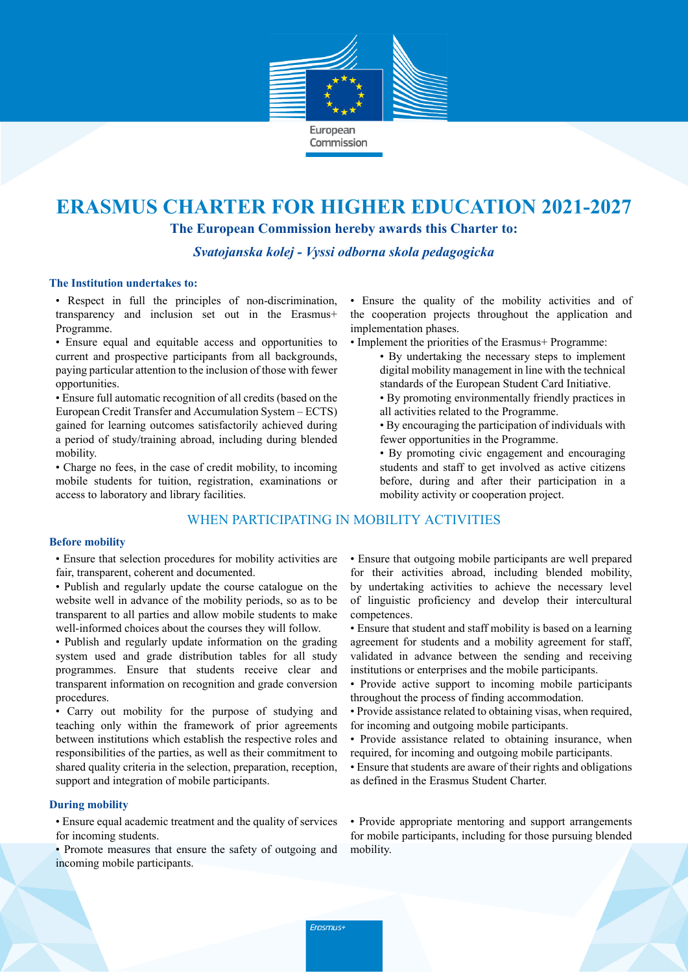

# **ERASMUS CHARTER FOR HIGHER EDUCATION 2021-2027**

**The European Commission hereby awards this Charter to:**

*Svatojanska kolej - Vyssi odborna skola pedagogicka*

#### **The Institution undertakes to:**

• Respect in full the principles of non-discrimination, transparency and inclusion set out in the Erasmus+ Programme.

• Ensure equal and equitable access and opportunities to current and prospective participants from all backgrounds, paying particular attention to the inclusion of those with fewer opportunities.

• Ensure full automatic recognition of all credits (based on the European Credit Transfer and Accumulation System – ECTS) gained for learning outcomes satisfactorily achieved during a period of study/training abroad, including during blended mobility.

• Charge no fees, in the case of credit mobility, to incoming mobile students for tuition, registration, examinations or access to laboratory and library facilities.

# WHEN PARTICIPATING IN MOBILITY ACTIVITIES

#### **Before mobility**

• Ensure that selection procedures for mobility activities are fair, transparent, coherent and documented.

- Publish and regularly update the course catalogue on the website well in advance of the mobility periods, so as to be transparent to all parties and allow mobile students to make well-informed choices about the courses they will follow.
- Publish and regularly update information on the grading system used and grade distribution tables for all study programmes. Ensure that students receive clear and transparent information on recognition and grade conversion procedures.

• Carry out mobility for the purpose of studying and teaching only within the framework of prior agreements between institutions which establish the respective roles and responsibilities of the parties, as well as their commitment to shared quality criteria in the selection, preparation, reception, support and integration of mobile participants.

## **During mobility**

• Ensure equal academic treatment and the quality of services for incoming students.

• Promote measures that ensure the safety of outgoing and incoming mobile participants.

• Ensure the quality of the mobility activities and of the cooperation projects throughout the application and implementation phases.

- Implement the priorities of the Erasmus+ Programme:
	- By undertaking the necessary steps to implement digital mobility management in line with the technical standards of the European Student Card Initiative.
	- By promoting environmentally friendly practices in all activities related to the Programme.
	- By encouraging the participation of individuals with fewer opportunities in the Programme.
	- By promoting civic engagement and encouraging students and staff to get involved as active citizens before, during and after their participation in a mobility activity or cooperation project.

• Ensure that outgoing mobile participants are well prepared for their activities abroad, including blended mobility, by undertaking activities to achieve the necessary level of linguistic proficiency and develop their intercultural competences.

- Ensure that student and staff mobility is based on a learning agreement for students and a mobility agreement for staff, validated in advance between the sending and receiving institutions or enterprises and the mobile participants.
- Provide active support to incoming mobile participants throughout the process of finding accommodation.
- Provide assistance related to obtaining visas, when required, for incoming and outgoing mobile participants.
- Provide assistance related to obtaining insurance, when required, for incoming and outgoing mobile participants.
- Ensure that students are aware of their rights and obligations as defined in the Erasmus Student Charter.

• Provide appropriate mentoring and support arrangements for mobile participants, including for those pursuing blended mobility.

Erasmus+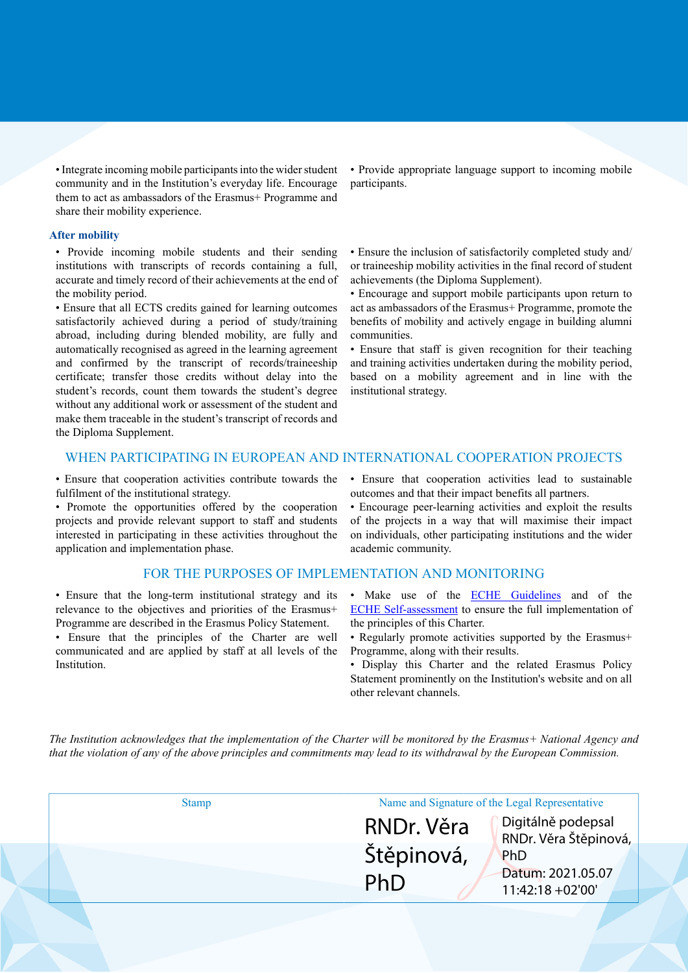• Integrate incoming mobile participants into the wider student community and in the Institution's everyday life. Encourage them to act as ambassadors of the Erasmus+ Programme and share their mobility experience.

#### **After mobility**

• Provide incoming mobile students and their sending institutions with transcripts of records containing a full, accurate and timely record of their achievements at the end of the mobility period.

• Ensure that all ECTS credits gained for learning outcomes satisfactorily achieved during a period of study/training abroad, including during blended mobility, are fully and automatically recognised as agreed in the learning agreement and confirmed by the transcript of records/traineeship certificate; transfer those credits without delay into the student's records, count them towards the student's degree without any additional work or assessment of the student and make them traceable in the student's transcript of records and the Diploma Supplement.

• Provide appropriate language support to incoming mobile participants.

• Ensure the inclusion of satisfactorily completed study and/ or traineeship mobility activities in the final record of student achievements (the Diploma Supplement).

• Encourage and support mobile participants upon return to act as ambassadors of the Erasmus+ Programme, promote the benefits of mobility and actively engage in building alumni communities.

• Ensure that staff is given recognition for their teaching and training activities undertaken during the mobility period, based on a mobility agreement and in line with the institutional strategy.

## WHEN PARTICIPATING IN EUROPEAN AND INTERNATIONAL COOPERATION PROJECTS

• Ensure that cooperation activities contribute towards the fulfilment of the institutional strategy.

• Promote the opportunities offered by the cooperation projects and provide relevant support to staff and students interested in participating in these activities throughout the application and implementation phase.

#### FOR THE PURPOSES OF IMPLEMENTATION AND MONITORING

• Ensure that the long-term institutional strategy and its relevance to the objectives and priorities of the Erasmus+ Programme are described in the Erasmus Policy Statement.

• Ensure that the principles of the Charter are well communicated and are applied by staff at all levels of the Institution.

• Ensure that cooperation activities lead to sustainable outcomes and that their impact benefits all partners.

• Encourage peer-learning activities and exploit the results of the projects in a way that will maximise their impact on individuals, other participating institutions and the wider academic community.

- Make use of the **ECHE Guidelines** and of the [ECHE Self-assessment](https://ec.europa.eu/programmes/erasmus-plus/eche/start_en) to ensure the full implementation of the principles of this Charter.
- Regularly promote activities supported by the Erasmus+ Programme, along with their results.
- Display this Charter and the related Erasmus Policy Statement prominently on the Institution's website and on all other relevant channels.

The Institution acknowledges that the implementation of the Charter will be monitored by the Erasmus+ National Agency and that the violation of any of the above principles and commitments may lead to its withdrawal by the European Commission.

| <b>Stamp</b> | Name and Signature of the Legal Representative |                                             |
|--------------|------------------------------------------------|---------------------------------------------|
|              | RNDr. Věra                                     | Digitálně podepsal<br>RNDr. Věra Štěpinová, |
|              | Štěpinová,                                     | PhD                                         |
|              | PhD                                            | Datum: 2021.05.07<br>$11:42:18 + 02'00'$    |
|              |                                                |                                             |